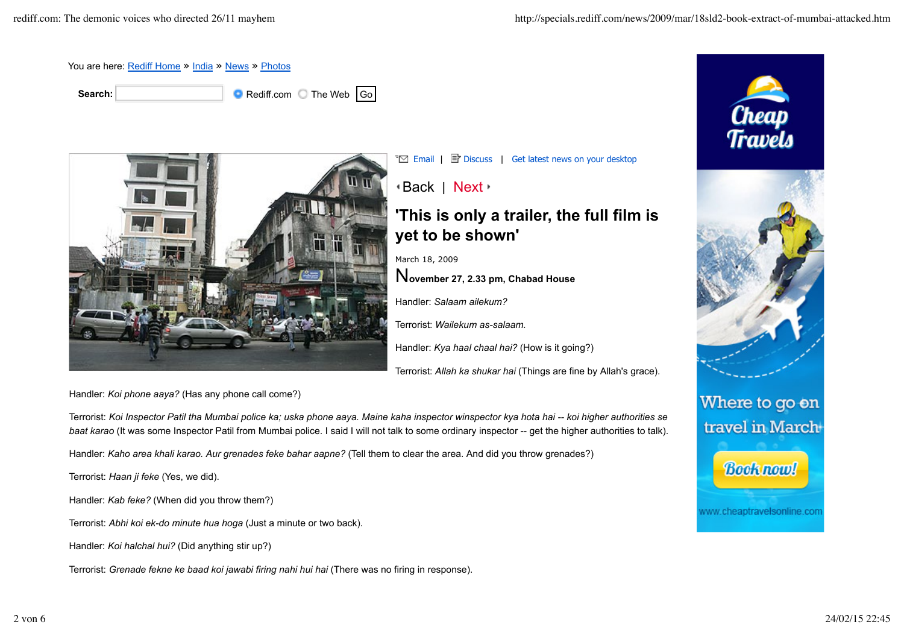

**Search: Search: Rediff.com** The Web Go



 $\overline{\mathbb{E}}$  Email |  $\overline{\mathbb{E}}$  Discuss | Get latest news on your desktop

Back | Next

## **'This is only a trailer, the full film is yet to be shown'**

March 18, 2009

N**ovember 27, 2.33 pm, Chabad House**

Handler: *Salaam ailekum?*

Terrorist: *Wailekum as-salaam.*

Handler: *Kya haal chaal hai?* (How is it going?)

Terrorist: *Allah ka shukar hai* (Things are fine by Allah's grace).

Handler: *Koi phone aaya?* (Has any phone call come?)

Terrorist: *Koi Inspector Patil tha Mumbai police ka; uska phone aaya. Maine kaha inspector winspector kya hota hai -- koi higher authorities se* baat karao (It was some Inspector Patil from Mumbai police. I said I will not talk to some ordinary inspector -- get the higher authorities to talk).

Handler: *Kaho area khali karao. Aur grenades feke bahar aapne?* (Tell them to clear the area. And did you throw grenades?)

Terrorist: *Haan ji feke* (Yes, we did).

Handler: *Kab feke?* (When did you throw them?)

Terrorist: *Abhi koi ek-do minute hua hoga* (Just a minute or two back).

Handler: *Koi halchal hui?* (Did anything stir up?)

Terrorist: *Grenade fekne ke baad koi jawabi firing nahi hui hai* (There was no firing in response).

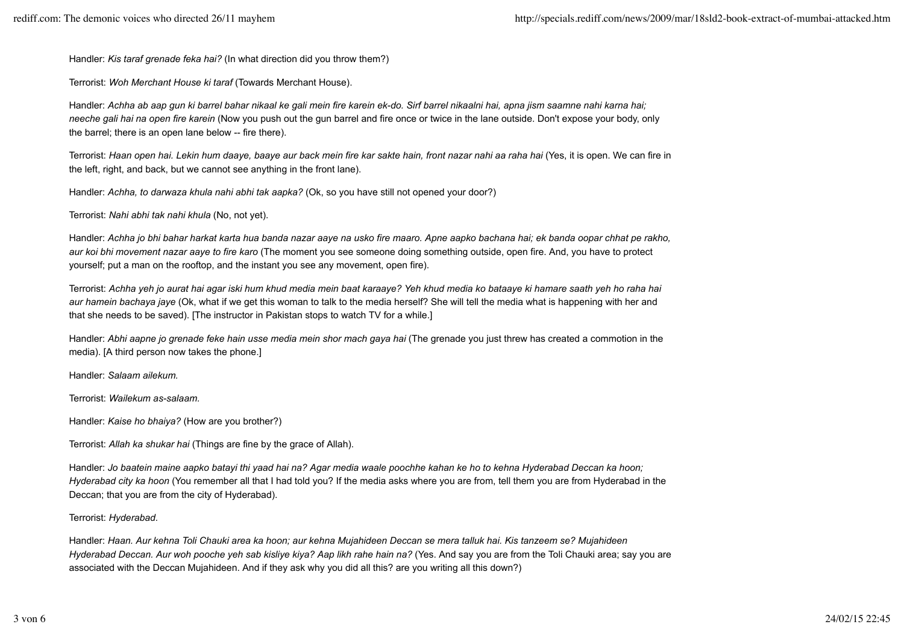Handler: *Kis taraf grenade feka hai?* (In what direction did you throw them?)

Terrorist: *Woh Merchant House ki taraf* (Towards Merchant House).

Handler: *Achha ab aap gun ki barrel bahar nikaal ke gali mein fire karein ek-do. Sirf barrel nikaalni hai, apna jism saamne nahi karna hai; neeche gali hai na open fire karein* (Now you push out the gun barrel and fire once or twice in the lane outside. Don't expose your body, only the barrel; there is an open lane below -- fire there).

Terrorist: *Haan open hai. Lekin hum daaye, baaye aur back mein fire kar sakte hain, front nazar nahi aa raha hai* (Yes, it is open. We can fire in the left, right, and back, but we cannot see anything in the front lane).

Handler: *Achha, to darwaza khula nahi abhi tak aapka?* (Ok, so you have still not opened your door?)

Terrorist: *Nahi abhi tak nahi khula* (No, not yet).

Handler: *Achha jo bhi bahar harkat karta hua banda nazar aaye na usko fire maaro. Apne aapko bachana hai; ek banda oopar chhat pe rakho, aur koi bhi movement nazar aaye to fire karo* (The moment you see someone doing something outside, open fire. And, you have to protect yourself; put a man on the rooftop, and the instant you see any movement, open fire).

Terrorist: *Achha yeh jo aurat hai agar iski hum khud media mein baat karaaye? Yeh khud media ko bataaye ki hamare saath yeh ho raha hai aur hamein bachaya jaye* (Ok, what if we get this woman to talk to the media herself? She will tell the media what is happening with her and that she needs to be saved). [The instructor in Pakistan stops to watch TV for a while.]

Handler: *Abhi aapne jo grenade feke hain usse media mein shor mach gaya hai* (The grenade you just threw has created a commotion in the media). [A third person now takes the phone.]

Handler: *Salaam ailekum.*

Terrorist: *Wailekum as-salaam.*

Handler: *Kaise ho bhaiya?* (How are you brother?)

Terrorist: *Allah ka shukar hai* (Things are fine by the grace of Allah).

Handler: *Jo baatein maine aapko batayi thi yaad hai na? Agar media waale poochhe kahan ke ho to kehna Hyderabad Deccan ka hoon; Hyderabad city ka hoon* (You remember all that I had told you? If the media asks where you are from, tell them you are from Hyderabad in the Deccan; that you are from the city of Hyderabad).

Terrorist: *Hyderabad.*

Handler: *Haan. Aur kehna Toli Chauki area ka hoon; aur kehna Mujahideen Deccan se mera talluk hai. Kis tanzeem se? Mujahideen Hyderabad Deccan. Aur woh pooche yeh sab kisliye kiya? Aap likh rahe hain na?* (Yes. And say you are from the Toli Chauki area; say you are associated with the Deccan Mujahideen. And if they ask why you did all this? are you writing all this down?)